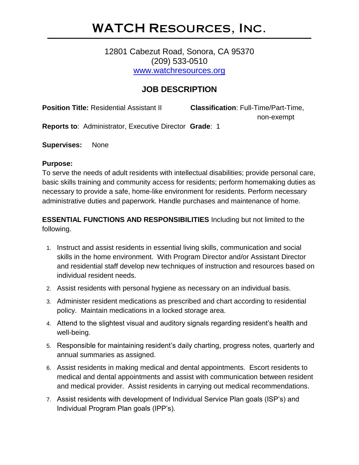# WATCH Resources, Inc.

## 12801 Cabezut Road, Sonora, CA 95370 (209) 533-0510 [www.watchresources.org](http://www.watchresources.org/)

## **JOB DESCRIPTION**

**Position Title:** Residential Assistant II **Classification**: Full-Time/Part-Time,

non-exempt

**Reports to**: Administrator, Executive Director **Grade**: 1

**Supervises:** None

#### **Purpose:**

To serve the needs of adult residents with intellectual disabilities; provide personal care, basic skills training and community access for residents; perform homemaking duties as necessary to provide a safe, home-like environment for residents. Perform necessary administrative duties and paperwork. Handle purchases and maintenance of home.

**ESSENTIAL FUNCTIONS AND RESPONSIBILITIES** Including but not limited to the following.

- 1. Instruct and assist residents in essential living skills, communication and social skills in the home environment. With Program Director and/or Assistant Director and residential staff develop new techniques of instruction and resources based on individual resident needs.
- 2. Assist residents with personal hygiene as necessary on an individual basis.
- 3. Administer resident medications as prescribed and chart according to residential policy. Maintain medications in a locked storage area.
- 4. Attend to the slightest visual and auditory signals regarding resident's health and well-being.
- 5. Responsible for maintaining resident's daily charting, progress notes, quarterly and annual summaries as assigned.
- 6. Assist residents in making medical and dental appointments. Escort residents to medical and dental appointments and assist with communication between resident and medical provider. Assist residents in carrying out medical recommendations.
- 7. Assist residents with development of Individual Service Plan goals (ISP's) and Individual Program Plan goals (IPP's).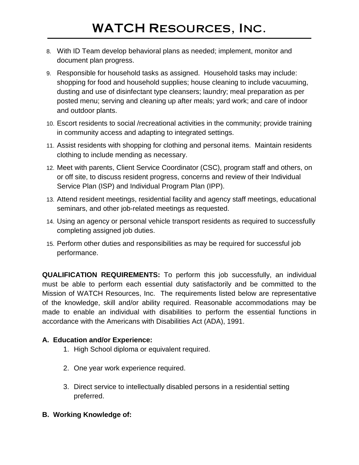- 8. With ID Team develop behavioral plans as needed; implement, monitor and document plan progress.
- 9. Responsible for household tasks as assigned. Household tasks may include: shopping for food and household supplies; house cleaning to include vacuuming, dusting and use of disinfectant type cleansers; laundry; meal preparation as per posted menu; serving and cleaning up after meals; yard work; and care of indoor and outdoor plants.
- 10. Escort residents to social /recreational activities in the community; provide training in community access and adapting to integrated settings.
- 11. Assist residents with shopping for clothing and personal items. Maintain residents clothing to include mending as necessary.
- 12. Meet with parents, Client Service Coordinator (CSC), program staff and others, on or off site, to discuss resident progress, concerns and review of their Individual Service Plan (ISP) and Individual Program Plan (IPP).
- 13. Attend resident meetings, residential facility and agency staff meetings, educational seminars, and other job-related meetings as requested.
- 14. Using an agency or personal vehicle transport residents as required to successfully completing assigned job duties.
- 15. Perform other duties and responsibilities as may be required for successful job performance.

**QUALIFICATION REQUIREMENTS:** To perform this job successfully, an individual must be able to perform each essential duty satisfactorily and be committed to the Mission of WATCH Resources, Inc. The requirements listed below are representative of the knowledge, skill and/or ability required. Reasonable accommodations may be made to enable an individual with disabilities to perform the essential functions in accordance with the Americans with Disabilities Act (ADA), 1991.

## **A. Education and/or Experience:**

- 1. High School diploma or equivalent required.
- 2. One year work experience required.
- 3. Direct service to intellectually disabled persons in a residential setting preferred.
- **B. Working Knowledge of:**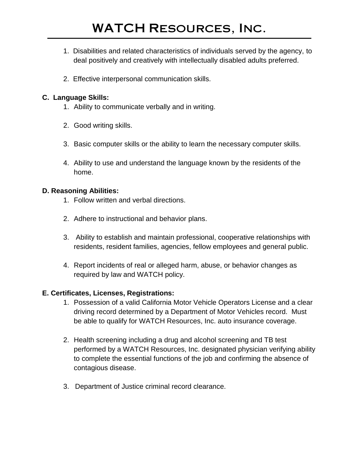- 1. Disabilities and related characteristics of individuals served by the agency, to deal positively and creatively with intellectually disabled adults preferred.
- 2. Effective interpersonal communication skills.

#### **C. Language Skills:**

- 1. Ability to communicate verbally and in writing.
- 2. Good writing skills.
- 3. Basic computer skills or the ability to learn the necessary computer skills.
- 4. Ability to use and understand the language known by the residents of the home.

## **D. Reasoning Abilities:**

- 1. Follow written and verbal directions.
- 2. Adhere to instructional and behavior plans.
- 3. Ability to establish and maintain professional, cooperative relationships with residents, resident families, agencies, fellow employees and general public.
- 4. Report incidents of real or alleged harm, abuse, or behavior changes as required by law and WATCH policy.

## **E. Certificates, Licenses, Registrations:**

- 1. Possession of a valid California Motor Vehicle Operators License and a clear driving record determined by a Department of Motor Vehicles record. Must be able to qualify for WATCH Resources, Inc. auto insurance coverage.
- 2. Health screening including a drug and alcohol screening and TB test performed by a WATCH Resources, Inc. designated physician verifying ability to complete the essential functions of the job and confirming the absence of contagious disease.
- 3. Department of Justice criminal record clearance.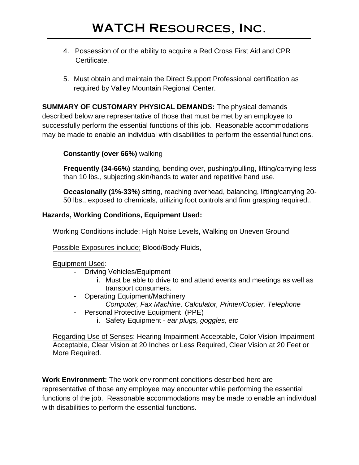- 4. Possession of or the ability to acquire a Red Cross First Aid and CPR Certificate.
- 5. Must obtain and maintain the Direct Support Professional certification as required by Valley Mountain Regional Center.

**SUMMARY OF CUSTOMARY PHYSICAL DEMANDS:** The physical demands described below are representative of those that must be met by an employee to successfully perform the essential functions of this job. Reasonable accommodations may be made to enable an individual with disabilities to perform the essential functions.

#### **Constantly (over 66%)** walking

**Frequently (34-66%)** standing, bending over, pushing/pulling, lifting/carrying less than 10 lbs., subjecting skin/hands to water and repetitive hand use.

**Occasionally (1%-33%)** sitting, reaching overhead, balancing, lifting/carrying 20- 50 lbs., exposed to chemicals, utilizing foot controls and firm grasping required..

#### **Hazards, Working Conditions, Equipment Used:**

Working Conditions include: High Noise Levels, Walking on Uneven Ground

Possible Exposures include; Blood/Body Fluids,

#### Equipment Used:

- Driving Vehicles/Equipment
	- i. Must be able to drive to and attend events and meetings as well as transport consumers.
- Operating Equipment/Machinery
	- *Computer, Fax Machine, Calculator, Printer/Copier, Telephone*
- Personal Protective Equipment (PPE)
	- i. Safety Equipment *ear plugs, goggles, etc*

Regarding Use of Senses: Hearing Impairment Acceptable, Color Vision Impairment Acceptable, Clear Vision at 20 Inches or Less Required, Clear Vision at 20 Feet or More Required.

**Work Environment:** The work environment conditions described here are representative of those any employee may encounter while performing the essential functions of the job. Reasonable accommodations may be made to enable an individual with disabilities to perform the essential functions.